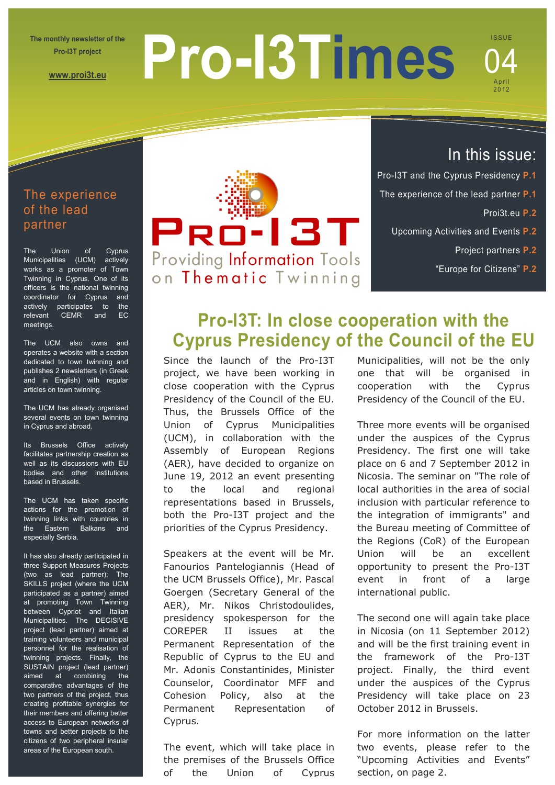**The monthly newsletter of the Pro-I3T project** 

**[www.proi3t.eu](http://www.proi3t.eu/)**

# **Pro-I3Times**

## **ISSUE** April 2012 04

## The experience of the lead partner

The Union of Cyprus Municipalities (UCM) actively works as a promoter of Town Twinning in Cyprus. One of its officers is the national twinning coordinator for Cyprus and actively participates to the relevant CEMR and EC meetings.

The UCM also owns and operates a website with a section dedicated to town twinning and publishes 2 newsletters (in Greek and in English) with regular articles on town twinning.

The UCM has already organised several events on town twinning in Cyprus and abroad.

Its Brussels Office actively facilitates partnership creation as well as its discussions with EU bodies and other institutions based in Brussels.

The UCM has taken specific actions for the promotion of twinning links with countries in the Eastern Balkans and especially Serbia.

It has also already participated in three Support Measures Projects (two as lead partner): The SKILLS project (where the UCM participated as a partner) aimed at promoting Town Twinning between Cypriot and Italian Municipalities. The DECISIVE project (lead partner) aimed at training volunteers and municipal personnel for the realisation of twinning projects. Finally, the SUSTAIN project (lead partner) aimed at combining the comparative advantages of the two partners of the project, thus creating profitable synergies for their members and offering better access to European networks of towns and better projects to the citizens of two peripheral insular areas of the European south.



## In this issue:

- Pro-I3T and the Cyprus Presidency **P.1**
- The experience of the lead partner **P.1**
	- Proi3t.eu **P.2**
	- Upcoming Activities and Events **P.2**
		- Project partners **P.2**
		- "Europe for Citizens" **P.2**

# **Pro-I3T: In close cooperation with the Cyprus Presidency of the Council of the EU**

Since the launch of the Pro-I3T project, we have been working in close cooperation with the Cyprus Presidency of the Council of the EU. Thus, the Brussels Office of the Union of Cyprus Municipalities (UCM), in collaboration with the Assembly of European Regions (AER), have decided to organize on June 19, 2012 an event presenting to the local and regional representations based in Brussels, both the Pro-I3T project and the priorities of the Cyprus Presidency.

Speakers at the event will be Mr. Fanourios Pantelogiannis (Head of the UCM Brussels Office), Mr. Pascal Goergen (Secretary General of the AER), Mr. Nikos Christodoulides, presidency spokesperson for the COREPER II issues at the Permanent Representation of the Republic of Cyprus to the EU and Mr. Adonis Constantinides, Minister Counselor, Coordinator MFF and Cohesion Policy, also at the Permanent Representation of Cyprus.

The event, which will take place in the premises of the Brussels Office of the Union of Cyprus

Municipalities, will not be the only one that will be organised in cooperation with the Cyprus Presidency of the Council of the EU.

Three more events will be organised under the auspices of the Cyprus Presidency. The first one will take place on 6 and 7 September 2012 in Nicosia. The seminar on "The role of local authorities in the area of social inclusion with particular reference to the integration of immigrants" and the Bureau meeting of Committee of the Regions (CoR) of the European Union will be an excellent opportunity to present the Pro-I3T event in front of a large international public.

The second one will again take place in Nicosia (on 11 September 2012) and will be the first training event in the framework of the Pro-I3T project. Finally, the third event under the auspices of the Cyprus Presidency will take place on 23 October 2012 in Brussels.

For more information on the latter two events, please refer to the "Upcoming Activities and Events" section, on page 2.